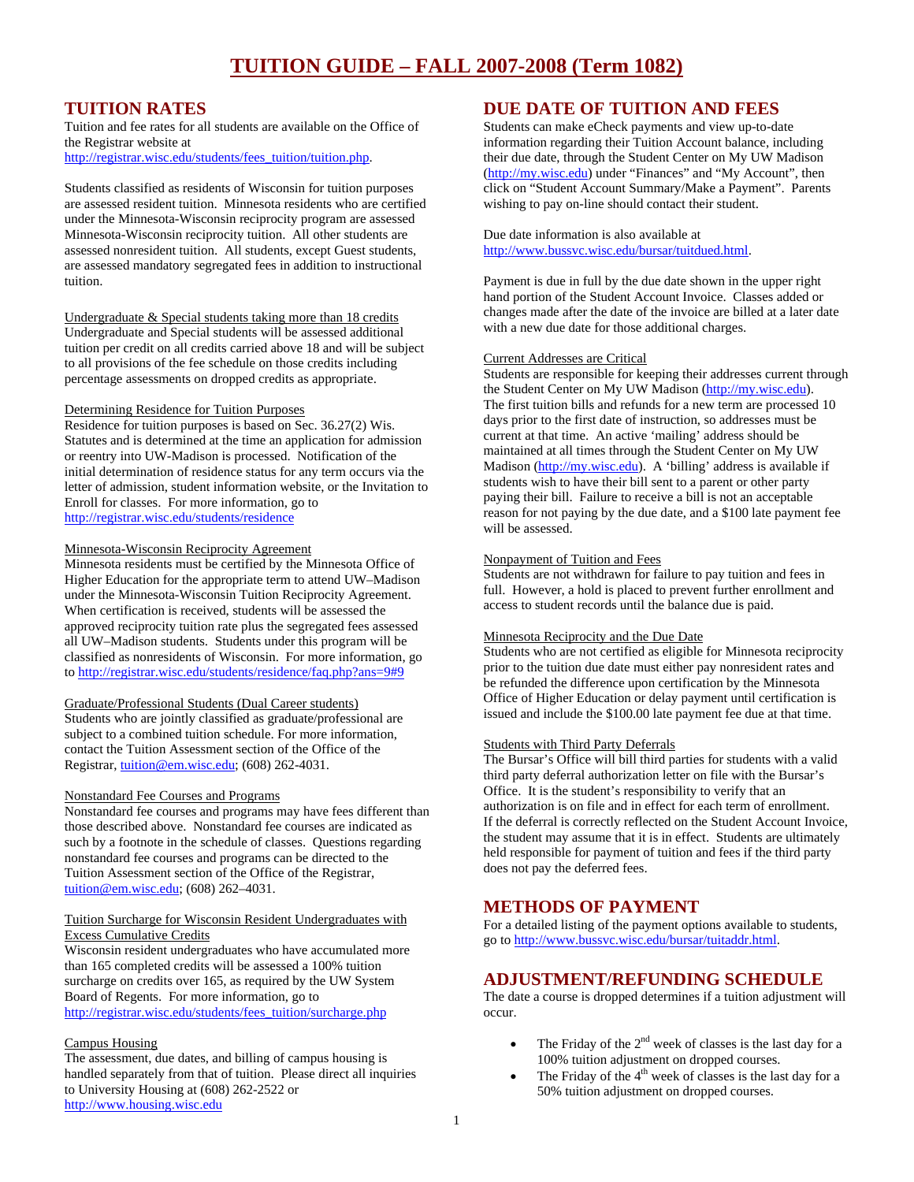## **TUITION RATES**

Tuition and fee rates for all students are available on the Office of the Registrar website at [http://registrar.wisc.edu/students/fees\\_tuition/tuition.php.](http://registrar.wisc.edu/students/fees_tuition/tuition.php)

Students classified as residents of Wisconsin for tuition purposes are assessed resident tuition. Minnesota residents who are certified under the Minnesota-Wisconsin reciprocity program are assessed Minnesota-Wisconsin reciprocity tuition. All other students are assessed nonresident tuition. All students, except Guest students, are assessed mandatory segregated fees in addition to instructional tuition.

Undergraduate & Special students taking more than 18 credits Undergraduate and Special students will be assessed additional tuition per credit on all credits carried above 18 and will be subject to all provisions of the fee schedule on those credits including percentage assessments on dropped credits as appropriate.

## Determining Residence for Tuition Purposes

Residence for tuition purposes is based on Sec. 36.27(2) Wis. Statutes and is determined at the time an application for admission or reentry into UW-Madison is processed. Notification of the initial determination of residence status for any term occurs via the letter of admission, student information website, or the Invitation to Enroll for classes. For more information, go to <http://registrar.wisc.edu/students/residence>

## Minnesota-Wisconsin Reciprocity Agreement

Minnesota residents must be certified by the Minnesota Office of Higher Education for the appropriate term to attend UW–Madison under the Minnesota-Wisconsin Tuition Reciprocity Agreement. When certification is received, students will be assessed the approved reciprocity tuition rate plus the segregated fees assessed all UW–Madison students. Students under this program will be classified as nonresidents of Wisconsin. For more information, go to<http://registrar.wisc.edu/students/residence/faq.php?ans=9#9>

## Graduate/Professional Students (Dual Career students)

Students who are jointly classified as graduate/professional are subject to a combined tuition schedule. For more information, contact the Tuition Assessment section of the Office of the Registrar, [tuition@em.wisc.edu;](mailto:tuition@em.wisc.edu) (608) 262-4031.

## Nonstandard Fee Courses and Programs

Nonstandard fee courses and programs may have fees different than those described above. Nonstandard fee courses are indicated as such by a footnote in the schedule of classes. Questions regarding nonstandard fee courses and programs can be directed to the Tuition Assessment section of the Office of the Registrar, [tuition@em.wisc.edu](mailto:tuition@em.wisc.edu); (608) 262–4031.

### Tuition Surcharge for Wisconsin Resident Undergraduates with Excess Cumulative Credits

Wisconsin resident undergraduates who have accumulated more than 165 completed credits will be assessed a 100% tuition surcharge on credits over 165, as required by the UW System Board of Regents. For more information, go to [http://registrar.wisc.edu/students/fees\\_tuition/surcharge.php](http://registrar.wisc.edu/students/fees_tuition/surcharge.php) 

## Campus Housing

The assessment, due dates, and billing of campus housing is handled separately from that of tuition. Please direct all inquiries to University Housing at (608) 262-2522 or [http://www.housing.wisc.edu](http://www.housing.wisc.edu/)

## **DUE DATE OF TUITION AND FEES**

Students can make eCheck payments and view up-to-date information regarding their Tuition Account balance, including their due date, through the Student Center on My UW Madison [\(http://my.wisc.edu\)](http://my.wisc.edu/) under "Finances" and "My Account", then click on "Student Account Summary/Make a Payment". Parents wishing to pay on-line should contact their student.

Due date information is also available at <http://www.bussvc.wisc.edu/bursar/tuitdued.html>.

Payment is due in full by the due date shown in the upper right hand portion of the Student Account Invoice. Classes added or changes made after the date of the invoice are billed at a later date with a new due date for those additional charges.

## Current Addresses are Critical

Students are responsible for keeping their addresses current through the Student Center on My UW Madison [\(http://my.wisc.edu](http://my.wisc.edu/)). The first tuition bills and refunds for a new term are processed 10 days prior to the first date of instruction, so addresses must be current at that time. An active 'mailing' address should be maintained at all times through the Student Center on My UW Madison ([http://my.wisc.edu\)](http://my.wisc.edu/). A 'billing' address is available if students wish to have their bill sent to a parent or other party paying their bill. Failure to receive a bill is not an acceptable reason for not paying by the due date, and a \$100 late payment fee will be assessed.

## Nonpayment of Tuition and Fees

Students are not withdrawn for failure to pay tuition and fees in full. However, a hold is placed to prevent further enrollment and access to student records until the balance due is paid.

## Minnesota Reciprocity and the Due Date

Students who are not certified as eligible for Minnesota reciprocity prior to the tuition due date must either pay nonresident rates and be refunded the difference upon certification by the Minnesota Office of Higher Education or delay payment until certification is issued and include the \$100.00 late payment fee due at that time.

## Students with Third Party Deferrals

The Bursar's Office will bill third parties for students with a valid third party deferral authorization letter on file with the Bursar's Office. It is the student's responsibility to verify that an authorization is on file and in effect for each term of enrollment. If the deferral is correctly reflected on the Student Account Invoice, the student may assume that it is in effect. Students are ultimately held responsible for payment of tuition and fees if the third party does not pay the deferred fees.

**METHODS OF PAYMENT**<br>For a detailed listing of the payment options available to students, go to [http://www.bussvc.wisc.edu/bursar/tuitaddr.html.](http://www.bussvc.wisc.edu/bursar/tuitaddr.html)

## **ADJUSTMENT/REFUNDING SCHEDULE**

The date a course is dropped determines if a tuition adjustment will occur.

- The Friday of the  $2<sup>nd</sup>$  week of classes is the last day for a 100% tuition adjustment on dropped courses.
- The Friday of the  $4<sup>th</sup>$  week of classes is the last day for a 50% tuition adjustment on dropped courses.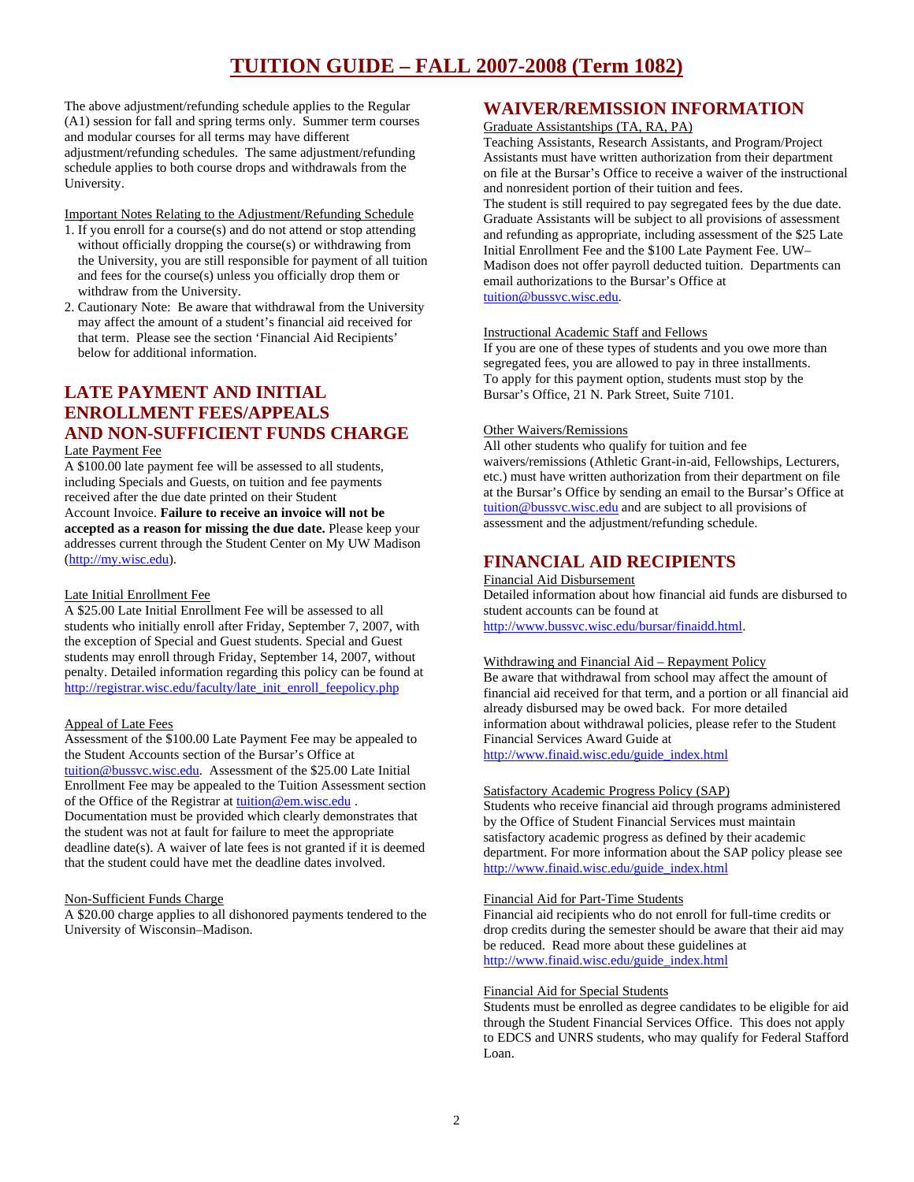# **TUITION GUIDE – FALL 2007-2008 (Term 1082)**

The above adjustment/refunding schedule applies to the Regular (A1) session for fall and spring terms only. Summer term courses and modular courses for all terms may have different adjustment/refunding schedules. The same adjustment/refunding schedule applies to both course drops and withdrawals from the University.

Important Notes Relating to the Adjustment/Refunding Schedule

- 1. If you enroll for a course(s) and do not attend or stop attending without officially dropping the course(s) or withdrawing from the University, you are still responsible for payment of all tuition and fees for the course(s) unless you officially drop them or withdraw from the University.
- 2. Cautionary Note: Be aware that withdrawal from the University may affect the amount of a student's financial aid received for that term. Please see the section 'Financial Aid Recipients' below for additional information.

## **LATE PAYMENT AND INITIAL ENROLLMENT FEES/APPEALS AND NON-SUFFICIENT FUNDS CHARGE**

## Late Payment Fee

A \$100.00 late payment fee will be assessed to all students, including Specials and Guests, on tuition and fee payments received after the due date printed on their Student Account Invoice. **Failure to receive an invoice will not be accepted as a reason for missing the due date.** Please keep your addresses current through the Student Center on My UW Madison [\(http://my.wisc.edu](http://my.wisc.edu/)).

#### Late Initial Enrollment Fee

A \$25.00 Late Initial Enrollment Fee will be assessed to all students who initially enroll after Friday, September 7, 2007, with the exception of Special and Guest students. Special and Guest students may enroll through Friday, September 14, 2007, without penalty. Detailed information regarding this policy can be found at [http://registrar.wisc.edu/faculty/late\\_init\\_enroll\\_feepolicy.php](http://registrar.wisc.edu/faculty/late_init_enroll_feepolicy.php)

## Appeal of Late Fees

Assessment of the \$100.00 Late Payment Fee may be appealed to the Student Accounts section of the Bursar's Office at [tuition@bussvc.wisc.edu.](mailto:tuition@bussvc.wisc.edu) Assessment of the \$25.00 Late Initial Enrollment Fee may be appealed to the Tuition Assessment section of the Office of the Registrar at **tuition@em.wisc.edu**.

Documentation must be provided which clearly demonstrates that the student was not at fault for failure to meet the appropriate deadline date(s). A waiver of late fees is not granted if it is deemed that the student could have met the deadline dates involved.

## Non-Sufficient Funds Charge

A \$20.00 charge applies to all dishonored payments tendered to the University of Wisconsin–Madison.

## **WAIVER/REMISSION INFORMATION**

#### Graduate Assistantships (TA, RA, PA)

Teaching Assistants, Research Assistants, and Program/Project Assistants must have written authorization from their department on file at the Bursar's Office to receive a waiver of the instructional and nonresident portion of their tuition and fees.

The student is still required to pay segregated fees by the due date. Graduate Assistants will be subject to all provisions of assessment and refunding as appropriate, including assessment of the \$25 Late Initial Enrollment Fee and the \$100 Late Payment Fee. UW– Madison does not offer payroll deducted tuition. Departments can email authorizations to the Bursar's Office at [tuition@bussvc.wisc.edu](mailto:tuition@bussvc.wisc.edu).

## Instructional Academic Staff and Fellows

If you are one of these types of students and you owe more than segregated fees, you are allowed to pay in three installments. To apply for this payment option, students must stop by the Bursar's Office, 21 N. Park Street, Suite 7101.

Other Waivers/Remissions<br>All other students who qualify for tuition and fee waivers/remissions (Athletic Grant-in-aid, Fellowships, Lecturers, etc.) must have written authorization from their department on file at the Bursar's Office by sending an email to the Bursar's Office at [tuition@bussvc.wisc.edu](mailto:tuition@bussvc.wisc.edu) and are subject to all provisions of assessment and the adjustment/refunding schedule.

## **FINANCIAL AID RECIPIENTS**

#### Financial Aid Disbursement Detailed information about how financial aid funds are disbursed to student accounts can be found at <http://www.bussvc.wisc.edu/bursar/finaidd.html>.

#### Withdrawing and Financial Aid – Repayment Policy

Be aware that withdrawal from school may affect the amount of financial aid received for that term, and a portion or all financial aid already disbursed may be owed back. For more detailed information about withdrawal policies, please refer to the Student Financial Services Award Guide at [http://www.finaid.wisc.edu/guide\\_index.html](http://www.finaid.wisc.edu/guide_index.html)

# Satisfactory Academic Progress Policy (SAP)

Students who receive financial aid through programs administered by the Office of Student Financial Services must maintain satisfactory academic progress as defined by their academic department. For more information about the SAP policy please see [http://www.finaid.wisc.edu/guide\\_index.html](http://www.finaid.wisc.edu/guide_index.html)

#### Financial Aid for Part-Time Students

Financial aid recipients who do not enroll for full-time credits or drop credits during the semester should be aware that their aid may be reduced. Read more about these guidelines at [http://www.finaid.wisc.edu/guide\\_index.html](http://www.finaid.wisc.edu/guide_index.html)

#### Financial Aid for Special Students

Students must be enrolled as degree candidates to be eligible for aid through the Student Financial Services Office. This does not apply to EDCS and UNRS students, who may qualify for Federal Stafford Loan.